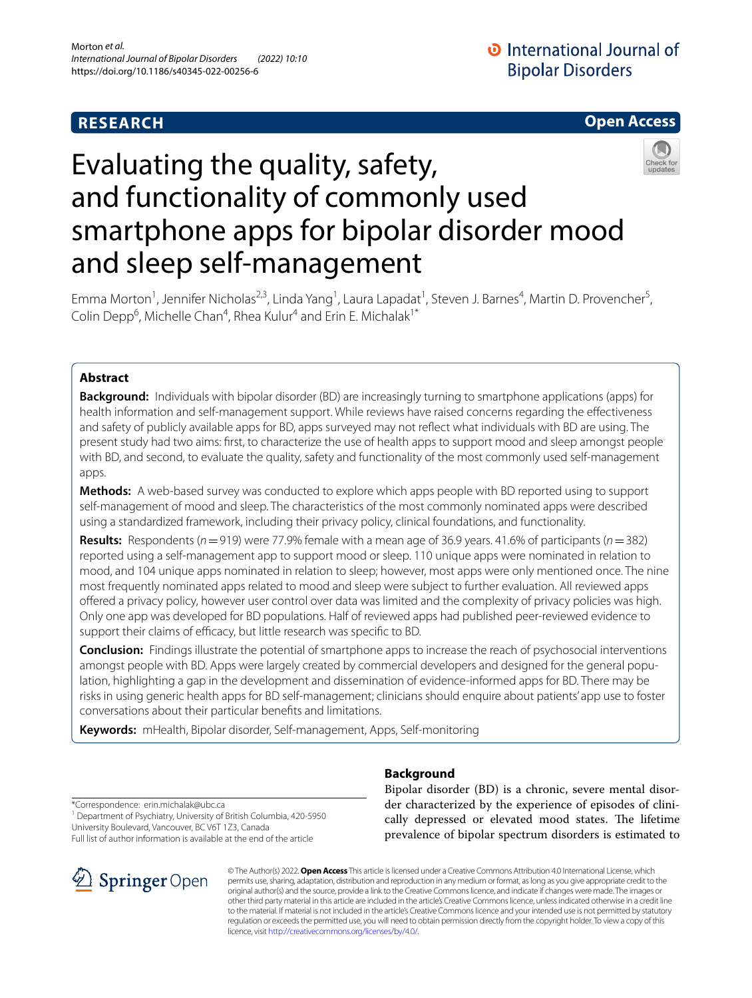# **RESEARCH**

# **Open Access**



# Evaluating the quality, safety, and functionality of commonly used smartphone apps for bipolar disorder mood and sleep self-management

Emma Morton<sup>1</sup>, Jennifer Nicholas<sup>2,3</sup>, Linda Yang<sup>1</sup>, Laura Lapadat<sup>1</sup>, Steven J. Barnes<sup>4</sup>, Martin D. Provencher<sup>5</sup>, Colin Depp<sup>6</sup>, Michelle Chan<sup>4</sup>, Rhea Kulur<sup>4</sup> and Erin E. Michalak<sup>1\*</sup>

# **Abstract**

**Background:** Individuals with bipolar disorder (BD) are increasingly turning to smartphone applications (apps) for health information and self-management support. While reviews have raised concerns regarding the efectiveness and safety of publicly available apps for BD, apps surveyed may not refect what individuals with BD are using. The present study had two aims: frst, to characterize the use of health apps to support mood and sleep amongst people with BD, and second, to evaluate the quality, safety and functionality of the most commonly used self-management apps.

**Methods:** A web-based survey was conducted to explore which apps people with BD reported using to support self-management of mood and sleep. The characteristics of the most commonly nominated apps were described using a standardized framework, including their privacy policy, clinical foundations, and functionality.

**Results:** Respondents ( $n=919$ ) were 77.9% female with a mean age of 36.9 years. 41.6% of participants ( $n=382$ ) reported using a self-management app to support mood or sleep. 110 unique apps were nominated in relation to mood, and 104 unique apps nominated in relation to sleep; however, most apps were only mentioned once. The nine most frequently nominated apps related to mood and sleep were subject to further evaluation. All reviewed apps ofered a privacy policy, however user control over data was limited and the complexity of privacy policies was high. Only one app was developed for BD populations. Half of reviewed apps had published peer-reviewed evidence to support their claims of efficacy, but little research was specific to BD.

**Conclusion:** Findings illustrate the potential of smartphone apps to increase the reach of psychosocial interventions amongst people with BD. Apps were largely created by commercial developers and designed for the general population, highlighting a gap in the development and dissemination of evidence-informed apps for BD. There may be risks in using generic health apps for BD self-management; clinicians should enquire about patients' app use to foster conversations about their particular benefts and limitations.

**Keywords:** mHealth, Bipolar disorder, Self-management, Apps, Self-monitoring

\*Correspondence: erin.michalak@ubc.ca

<sup>1</sup> Department of Psychiatry, University of British Columbia, 420-5950 University Boulevard, Vancouver, BC V6T 1Z3, Canada

Full list of author information is available at the end of the article



# **Background**

Bipolar disorder (BD) is a chronic, severe mental disorder characterized by the experience of episodes of clinically depressed or elevated mood states. The lifetime prevalence of bipolar spectrum disorders is estimated to

© The Author(s) 2022. **Open Access** This article is licensed under a Creative Commons Attribution 4.0 International License, which permits use, sharing, adaptation, distribution and reproduction in any medium or format, as long as you give appropriate credit to the original author(s) and the source, provide a link to the Creative Commons licence, and indicate if changes were made. The images or other third party material in this article are included in the article's Creative Commons licence, unless indicated otherwise in a credit line to the material. If material is not included in the article's Creative Commons licence and your intended use is not permitted by statutory regulation or exceeds the permitted use, you will need to obtain permission directly from the copyright holder. To view a copy of this licence, visit [http://creativecommons.org/licenses/by/4.0/.](http://creativecommons.org/licenses/by/4.0/)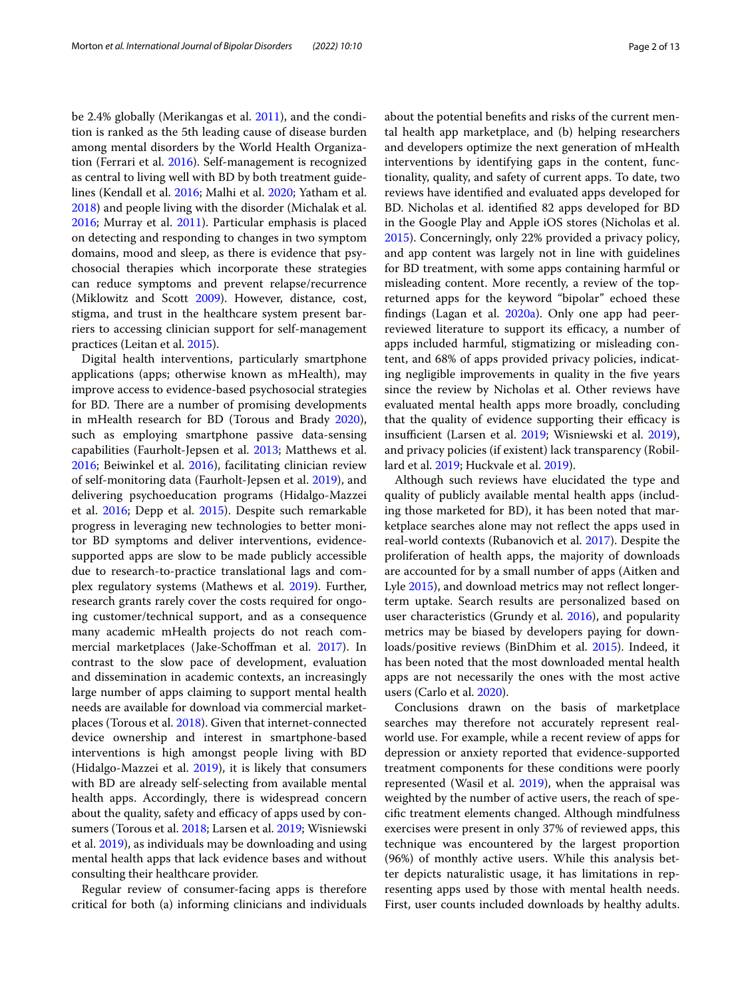be 2.4% globally (Merikangas et al. [2011\)](#page-11-0), and the condition is ranked as the 5th leading cause of disease burden among mental disorders by the World Health Organization (Ferrari et al. [2016\)](#page-10-0). Self-management is recognized as central to living well with BD by both treatment guidelines (Kendall et al. [2016;](#page-11-1) Malhi et al. [2020](#page-11-2); Yatham et al. [2018](#page-12-0)) and people living with the disorder (Michalak et al. [2016](#page-11-3); Murray et al. [2011\)](#page-11-4). Particular emphasis is placed on detecting and responding to changes in two symptom domains, mood and sleep, as there is evidence that psychosocial therapies which incorporate these strategies can reduce symptoms and prevent relapse/recurrence (Miklowitz and Scott [2009\)](#page-11-5). However, distance, cost, stigma, and trust in the healthcare system present barriers to accessing clinician support for self-management practices (Leitan et al. [2015](#page-11-6)).

Digital health interventions, particularly smartphone applications (apps; otherwise known as mHealth), may improve access to evidence-based psychosocial strategies for BD. There are a number of promising developments in mHealth research for BD (Torous and Brady [2020](#page-12-1)), such as employing smartphone passive data-sensing capabilities (Faurholt-Jepsen et al. [2013;](#page-10-1) Matthews et al. [2016](#page-11-7); Beiwinkel et al. [2016](#page-10-2)), facilitating clinician review of self-monitoring data (Faurholt-Jepsen et al. [2019](#page-10-3)), and delivering psychoeducation programs (Hidalgo-Mazzei et al. [2016](#page-11-8); Depp et al. [2015\)](#page-10-4). Despite such remarkable progress in leveraging new technologies to better monitor BD symptoms and deliver interventions, evidencesupported apps are slow to be made publicly accessible due to research-to-practice translational lags and complex regulatory systems (Mathews et al. [2019\)](#page-11-9). Further, research grants rarely cover the costs required for ongoing customer/technical support, and as a consequence many academic mHealth projects do not reach commercial marketplaces (Jake-Schofman et al. [2017](#page-11-10)). In contrast to the slow pace of development, evaluation and dissemination in academic contexts, an increasingly large number of apps claiming to support mental health needs are available for download via commercial marketplaces (Torous et al. [2018](#page-12-2)). Given that internet-connected device ownership and interest in smartphone-based interventions is high amongst people living with BD (Hidalgo-Mazzei et al. [2019\)](#page-11-11), it is likely that consumers with BD are already self-selecting from available mental health apps. Accordingly, there is widespread concern about the quality, safety and efficacy of apps used by consumers (Torous et al. [2018;](#page-12-2) Larsen et al. [2019](#page-11-12); Wisniewski et al. [2019](#page-12-3)), as individuals may be downloading and using mental health apps that lack evidence bases and without consulting their healthcare provider.

Regular review of consumer-facing apps is therefore critical for both (a) informing clinicians and individuals about the potential benefts and risks of the current mental health app marketplace, and (b) helping researchers and developers optimize the next generation of mHealth interventions by identifying gaps in the content, functionality, quality, and safety of current apps. To date, two reviews have identifed and evaluated apps developed for BD. Nicholas et al. identifed 82 apps developed for BD in the Google Play and Apple iOS stores (Nicholas et al. [2015](#page-11-13)). Concerningly, only 22% provided a privacy policy, and app content was largely not in line with guidelines for BD treatment, with some apps containing harmful or misleading content. More recently, a review of the topreturned apps for the keyword "bipolar" echoed these fndings (Lagan et al. [2020a](#page-11-14)). Only one app had peerreviewed literature to support its efficacy, a number of apps included harmful, stigmatizing or misleading content, and 68% of apps provided privacy policies, indicating negligible improvements in quality in the fve years since the review by Nicholas et al. Other reviews have evaluated mental health apps more broadly, concluding that the quality of evidence supporting their efficacy is insufficient (Larsen et al. [2019;](#page-11-12) Wisniewski et al. [2019](#page-12-3)), and privacy policies (if existent) lack transparency (Robillard et al. [2019](#page-11-15); Huckvale et al. [2019\)](#page-11-16).

Although such reviews have elucidated the type and quality of publicly available mental health apps (including those marketed for BD), it has been noted that marketplace searches alone may not refect the apps used in real-world contexts (Rubanovich et al. [2017\)](#page-12-4). Despite the proliferation of health apps, the majority of downloads are accounted for by a small number of apps (Aitken and Lyle [2015](#page-10-5)), and download metrics may not reflect longerterm uptake. Search results are personalized based on user characteristics (Grundy et al. [2016](#page-11-17)), and popularity metrics may be biased by developers paying for downloads/positive reviews (BinDhim et al. [2015\)](#page-10-6). Indeed, it has been noted that the most downloaded mental health apps are not necessarily the ones with the most active users (Carlo et al. [2020\)](#page-10-7).

Conclusions drawn on the basis of marketplace searches may therefore not accurately represent realworld use. For example, while a recent review of apps for depression or anxiety reported that evidence-supported treatment components for these conditions were poorly represented (Wasil et al. [2019](#page-12-5)), when the appraisal was weighted by the number of active users, the reach of specifc treatment elements changed. Although mindfulness exercises were present in only 37% of reviewed apps, this technique was encountered by the largest proportion (96%) of monthly active users. While this analysis better depicts naturalistic usage, it has limitations in representing apps used by those with mental health needs. First, user counts included downloads by healthy adults.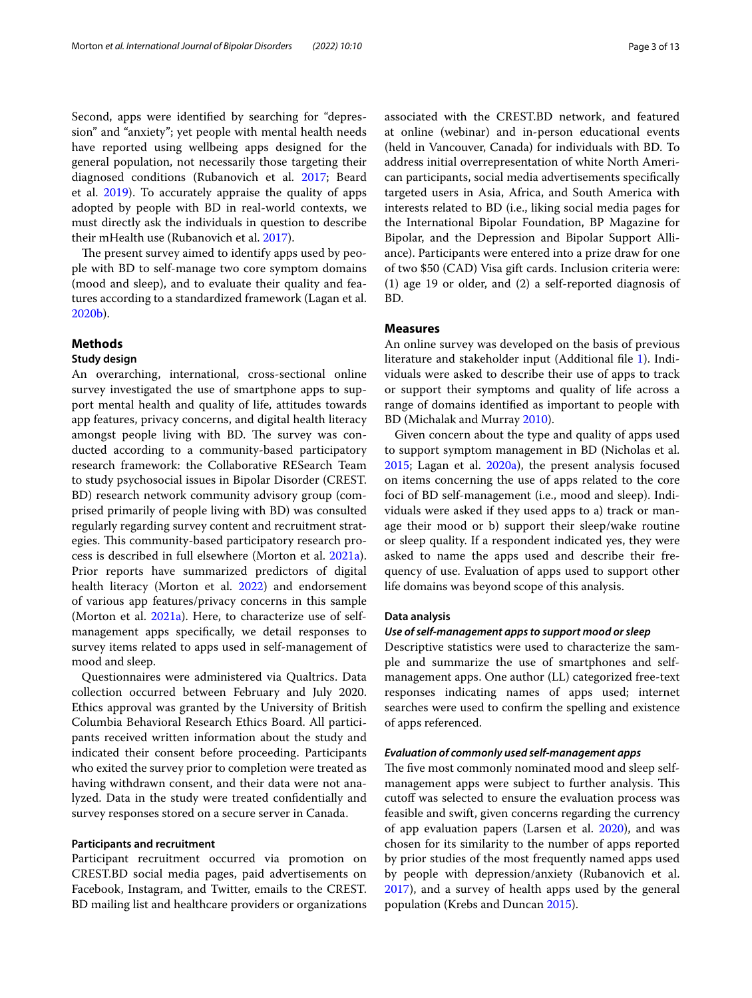Second, apps were identifed by searching for "depression" and "anxiety"; yet people with mental health needs have reported using wellbeing apps designed for the general population, not necessarily those targeting their diagnosed conditions (Rubanovich et al. [2017;](#page-12-4) Beard et al. [2019\)](#page-10-8). To accurately appraise the quality of apps adopted by people with BD in real-world contexts, we must directly ask the individuals in question to describe their mHealth use (Rubanovich et al. [2017\)](#page-12-4).

The present survey aimed to identify apps used by people with BD to self-manage two core symptom domains (mood and sleep), and to evaluate their quality and features according to a standardized framework (Lagan et al. [2020b\)](#page-11-18).

# **Methods**

# **Study design**

An overarching, international, cross-sectional online survey investigated the use of smartphone apps to support mental health and quality of life, attitudes towards app features, privacy concerns, and digital health literacy amongst people living with BD. The survey was conducted according to a community-based participatory research framework: the Collaborative RESearch Team to study psychosocial issues in Bipolar Disorder (CREST. BD) research network community advisory group (comprised primarily of people living with BD) was consulted regularly regarding survey content and recruitment strategies. This community-based participatory research process is described in full elsewhere (Morton et al. [2021a](#page-11-19)). Prior reports have summarized predictors of digital health literacy (Morton et al. [2022\)](#page-11-20) and endorsement of various app features/privacy concerns in this sample (Morton et al. [2021a\)](#page-11-19). Here, to characterize use of selfmanagement apps specifcally, we detail responses to survey items related to apps used in self-management of mood and sleep.

Questionnaires were administered via Qualtrics. Data collection occurred between February and July 2020. Ethics approval was granted by the University of British Columbia Behavioral Research Ethics Board. All participants received written information about the study and indicated their consent before proceeding. Participants who exited the survey prior to completion were treated as having withdrawn consent, and their data were not analyzed. Data in the study were treated confdentially and survey responses stored on a secure server in Canada.

## **Participants and recruitment**

Participant recruitment occurred via promotion on CREST.BD social media pages, paid advertisements on Facebook, Instagram, and Twitter, emails to the CREST. BD mailing list and healthcare providers or organizations associated with the CREST.BD network, and featured at online (webinar) and in-person educational events (held in Vancouver, Canada) for individuals with BD. To address initial overrepresentation of white North American participants, social media advertisements specifcally targeted users in Asia, Africa, and South America with interests related to BD (i.e., liking social media pages for the International Bipolar Foundation, BP Magazine for Bipolar, and the Depression and Bipolar Support Alliance). Participants were entered into a prize draw for one of two \$50 (CAD) Visa gift cards. Inclusion criteria were: (1) age 19 or older, and (2) a self-reported diagnosis of BD.

# **Measures**

An online survey was developed on the basis of previous literature and stakeholder input (Additional fle [1\)](#page-10-9). Individuals were asked to describe their use of apps to track or support their symptoms and quality of life across a range of domains identifed as important to people with BD (Michalak and Murray [2010\)](#page-11-21).

Given concern about the type and quality of apps used to support symptom management in BD (Nicholas et al. [2015](#page-11-13); Lagan et al. [2020a](#page-11-14)), the present analysis focused on items concerning the use of apps related to the core foci of BD self-management (i.e., mood and sleep). Individuals were asked if they used apps to a) track or manage their mood or b) support their sleep/wake routine or sleep quality. If a respondent indicated yes, they were asked to name the apps used and describe their frequency of use. Evaluation of apps used to support other life domains was beyond scope of this analysis.

#### **Data analysis**

## *Use of self‑management apps to support mood or sleep*

Descriptive statistics were used to characterize the sample and summarize the use of smartphones and selfmanagement apps. One author (LL) categorized free-text responses indicating names of apps used; internet searches were used to confrm the spelling and existence of apps referenced.

#### *Evaluation of commonly used self‑management apps*

The five most commonly nominated mood and sleep selfmanagement apps were subject to further analysis. This cutoff was selected to ensure the evaluation process was feasible and swift, given concerns regarding the currency of app evaluation papers (Larsen et al. [2020](#page-11-22)), and was chosen for its similarity to the number of apps reported by prior studies of the most frequently named apps used by people with depression/anxiety (Rubanovich et al. [2017](#page-12-4)), and a survey of health apps used by the general population (Krebs and Duncan [2015\)](#page-11-23).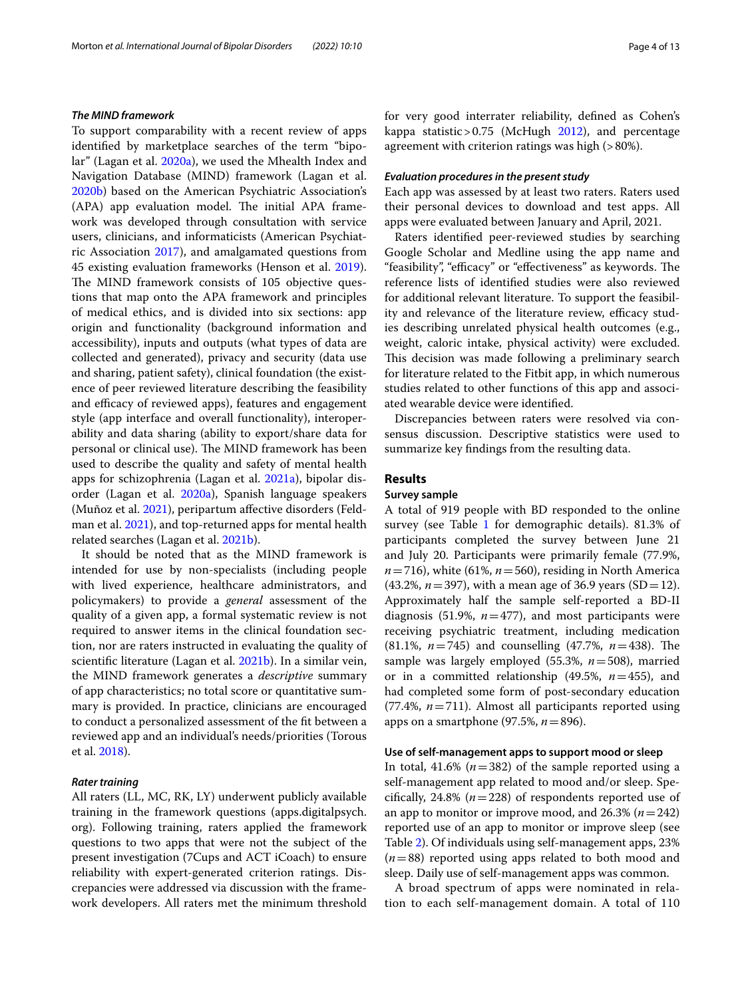#### *The MIND framework*

To support comparability with a recent review of apps identifed by marketplace searches of the term "bipolar" (Lagan et al. [2020a\)](#page-11-14), we used the Mhealth Index and Navigation Database (MIND) framework (Lagan et al. [2020b\)](#page-11-18) based on the American Psychiatric Association's (APA) app evaluation model. The initial APA framework was developed through consultation with service users, clinicians, and informaticists (American Psychiatric Association [2017](#page-10-10)), and amalgamated questions from 45 existing evaluation frameworks (Henson et al. [2019](#page-11-24)). The MIND framework consists of 105 objective questions that map onto the APA framework and principles of medical ethics, and is divided into six sections: app origin and functionality (background information and accessibility), inputs and outputs (what types of data are collected and generated), privacy and security (data use and sharing, patient safety), clinical foundation (the existence of peer reviewed literature describing the feasibility and efficacy of reviewed apps), features and engagement style (app interface and overall functionality), interoperability and data sharing (ability to export/share data for personal or clinical use). The MIND framework has been used to describe the quality and safety of mental health apps for schizophrenia (Lagan et al. [2021a\)](#page-11-25), bipolar disorder (Lagan et al. [2020a](#page-11-14)), Spanish language speakers (Muñoz et al. [2021\)](#page-11-26), peripartum afective disorders (Feldman et al. [2021](#page-10-11)), and top-returned apps for mental health related searches (Lagan et al. [2021b\)](#page-11-27).

It should be noted that as the MIND framework is intended for use by non-specialists (including people with lived experience, healthcare administrators, and policymakers) to provide a *general* assessment of the quality of a given app, a formal systematic review is not required to answer items in the clinical foundation section, nor are raters instructed in evaluating the quality of scientifc literature (Lagan et al. [2021b\)](#page-11-27). In a similar vein, the MIND framework generates a *descriptive* summary of app characteristics; no total score or quantitative summary is provided. In practice, clinicians are encouraged to conduct a personalized assessment of the ft between a reviewed app and an individual's needs/priorities (Torous et al. [2018\)](#page-12-2).

# *Rater training*

All raters (LL, MC, RK, LY) underwent publicly available training in the framework questions (apps.digitalpsych. org). Following training, raters applied the framework questions to two apps that were not the subject of the present investigation (7Cups and ACT iCoach) to ensure reliability with expert-generated criterion ratings. Discrepancies were addressed via discussion with the framework developers. All raters met the minimum threshold for very good interrater reliability, defned as Cohen's kappa statistic > 0.75 (McHugh  $2012$ ), and percentage agreement with criterion ratings was high (>80%).

#### *Evaluation procedures in the present study*

Each app was assessed by at least two raters. Raters used their personal devices to download and test apps. All apps were evaluated between January and April, 2021.

Raters identifed peer-reviewed studies by searching Google Scholar and Medline using the app name and "feasibility", "efficacy" or "effectiveness" as keywords. The reference lists of identifed studies were also reviewed for additional relevant literature. To support the feasibility and relevance of the literature review, efficacy studies describing unrelated physical health outcomes (e.g., weight, caloric intake, physical activity) were excluded. This decision was made following a preliminary search for literature related to the Fitbit app, in which numerous studies related to other functions of this app and associated wearable device were identifed.

Discrepancies between raters were resolved via consensus discussion. Descriptive statistics were used to summarize key fndings from the resulting data.

#### **Results**

#### **Survey sample**

A total of 919 people with BD responded to the online survey (see Table [1](#page-4-0) for demographic details). 81.3% of participants completed the survey between June 21 and July 20. Participants were primarily female (77.9%,  $n = 716$ ), white (61%,  $n = 560$ ), residing in North America  $(43.2\%, n=397)$ , with a mean age of 36.9 years (SD = 12). Approximately half the sample self-reported a BD-II diagnosis (51.9%,  $n=477$ ), and most participants were receiving psychiatric treatment, including medication (81.1%, *n*=745) and counselling (47.7%, *n*=438). Te sample was largely employed (55.3%, *n*=508), married or in a committed relationship (49.5%, *n*=455), and had completed some form of post-secondary education (77.4%, *n*=711). Almost all participants reported using apps on a smartphone (97.5%, *n*=896).

#### **Use of self‑management apps to support mood or sleep**

In total, 41.6% (*n*=382) of the sample reported using a self-management app related to mood and/or sleep. Specifically, 24.8% ( $n=228$ ) of respondents reported use of an app to monitor or improve mood, and 26.3% (*n*=242) reported use of an app to monitor or improve sleep (see Table [2](#page-5-0)). Of individuals using self-management apps, 23% (*n*=88) reported using apps related to both mood and sleep. Daily use of self-management apps was common.

A broad spectrum of apps were nominated in relation to each self-management domain. A total of 110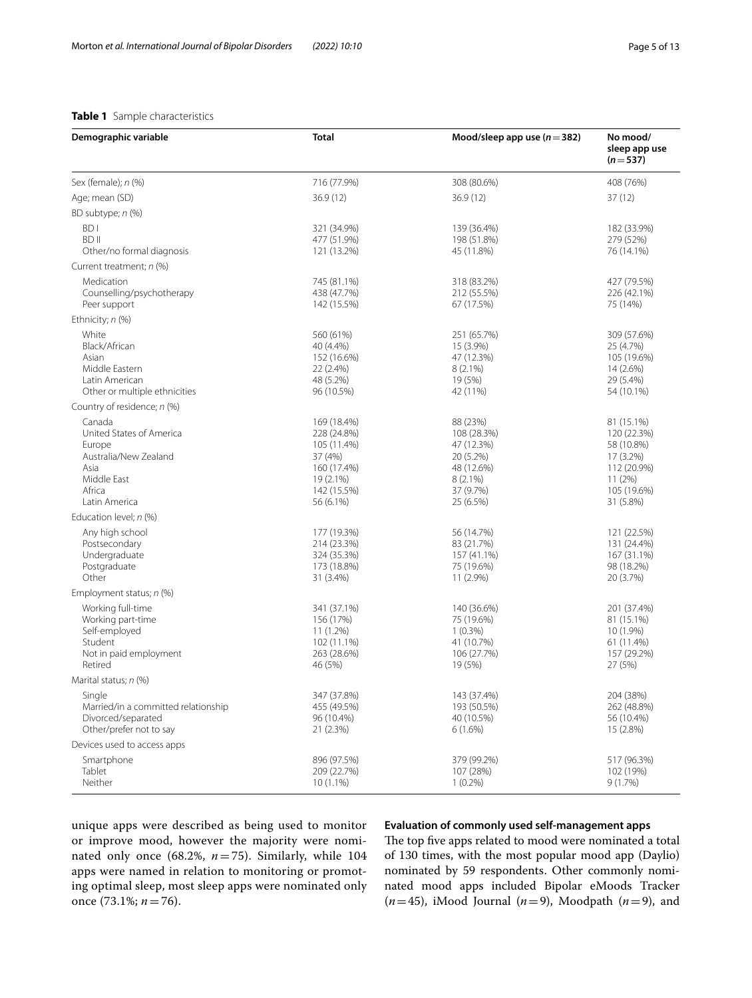# <span id="page-4-0"></span>**Table 1** Sample characteristics

| Demographic variable                                                                                                    | Total                                                                                                        | Mood/sleep app use $(n=382)$                                                                             | No mood/<br>sleep app use<br>$(n=537)$                                                                    |
|-------------------------------------------------------------------------------------------------------------------------|--------------------------------------------------------------------------------------------------------------|----------------------------------------------------------------------------------------------------------|-----------------------------------------------------------------------------------------------------------|
| Sex (female); n (%)                                                                                                     | 716 (77.9%)                                                                                                  | 308 (80.6%)                                                                                              | 408 (76%)                                                                                                 |
| Age; mean (SD)                                                                                                          | 36.9(12)                                                                                                     | 36.9 (12)                                                                                                | 37(12)                                                                                                    |
| BD subtype; n (%)                                                                                                       |                                                                                                              |                                                                                                          |                                                                                                           |
| BD I<br><b>BDII</b><br>Other/no formal diagnosis                                                                        | 321 (34.9%)<br>477 (51.9%)<br>121 (13.2%)                                                                    | 139 (36.4%)<br>198 (51.8%)<br>45 (11.8%)                                                                 | 182 (33.9%)<br>279 (52%)<br>76 (14.1%)                                                                    |
| Current treatment; n (%)                                                                                                |                                                                                                              |                                                                                                          |                                                                                                           |
| Medication<br>Counselling/psychotherapy<br>Peer support                                                                 | 745 (81.1%)<br>438 (47.7%)<br>142 (15.5%)                                                                    | 318 (83.2%)<br>212 (55.5%)<br>67 (17.5%)                                                                 | 427 (79.5%)<br>226 (42.1%)<br>75 (14%)                                                                    |
| Ethnicity; n (%)                                                                                                        |                                                                                                              |                                                                                                          |                                                                                                           |
| White<br>Black/African<br>Asian<br>Middle Eastern<br>Latin American<br>Other or multiple ethnicities                    | 560 (61%)<br>40 (4.4%)<br>152 (16.6%)<br>22 (2.4%)<br>48 (5.2%)<br>96 (10.5%)                                | 251 (65.7%)<br>15 (3.9%)<br>47 (12.3%)<br>$8(2.1\%)$<br>19 (5%)<br>42 (11%)                              | 309 (57.6%)<br>25 (4.7%)<br>105 (19.6%)<br>14 (2.6%)<br>29 (5.4%)<br>54 (10.1%)                           |
| Country of residence; n (%)                                                                                             |                                                                                                              |                                                                                                          |                                                                                                           |
| Canada<br>United States of America<br>Europe<br>Australia/New Zealand<br>Asia<br>Middle East<br>Africa<br>Latin America | 169 (18.4%)<br>228 (24.8%)<br>105 (11.4%)<br>37 (4%)<br>160 (17.4%)<br>19 (2.1%)<br>142 (15.5%)<br>56 (6.1%) | 88 (23%)<br>108 (28.3%)<br>47 (12.3%)<br>20 (5.2%)<br>48 (12.6%)<br>$8(2.1\%)$<br>37 (9.7%)<br>25 (6.5%) | 81 (15.1%)<br>120 (22.3%)<br>58 (10.8%)<br>17 (3.2%)<br>112 (20.9%)<br>11(2%)<br>105 (19.6%)<br>31 (5.8%) |
| Education level; n (%)                                                                                                  |                                                                                                              |                                                                                                          |                                                                                                           |
| Any high school<br>Postsecondary<br>Undergraduate<br>Postgraduate<br>Other                                              | 177 (19.3%)<br>214 (23.3%)<br>324 (35.3%)<br>173 (18.8%)<br>31 (3.4%)                                        | 56 (14.7%)<br>83 (21.7%)<br>157 (41.1%)<br>75 (19.6%)<br>11 (2.9%)                                       | 121 (22.5%)<br>131 (24.4%)<br>167 (31.1%)<br>98 (18.2%)<br>20 (3.7%)                                      |
| Employment status; n (%)                                                                                                |                                                                                                              |                                                                                                          |                                                                                                           |
| Working full-time<br>Working part-time<br>Self-employed<br>Student<br>Not in paid employment<br>Retired                 | 341 (37.1%)<br>156 (17%)<br>11 (1.2%)<br>102 (11.1%)<br>263 (28.6%)<br>46 (5%)                               | 140 (36.6%)<br>75 (19.6%)<br>$1(0.3\%)$<br>41 (10.7%)<br>106 (27.7%)<br>19 (5%)                          | 201 (37.4%)<br>81 (15.1%)<br>10 (1.9%)<br>61 (11.4%)<br>157 (29.2%)<br>27 (5%)                            |
| Marital status; n (%)                                                                                                   |                                                                                                              |                                                                                                          |                                                                                                           |
| Single<br>Married/in a committed relationship<br>Divorced/separated<br>Other/prefer not to say                          | 347 (37.8%)<br>455 (49.5%)<br>96 (10.4%)<br>21 (2.3%)                                                        | 143 (37.4%)<br>193 (50.5%)<br>40 (10.5%)<br>$6(1.6\%)$                                                   | 204 (38%)<br>262 (48.8%)<br>56 (10.4%)<br>15 (2.8%)                                                       |
| Devices used to access apps                                                                                             |                                                                                                              |                                                                                                          |                                                                                                           |
| Smartphone<br>Tablet<br>Neither                                                                                         | 896 (97.5%)<br>209 (22.7%)<br>$10(1.1\%)$                                                                    | 379 (99.2%)<br>107 (28%)<br>$1(0.2\%)$                                                                   | 517 (96.3%)<br>102 (19%)<br>9(1.7%)                                                                       |

unique apps were described as being used to monitor or improve mood, however the majority were nominated only once (68.2%, *n*=75). Similarly, while 104 apps were named in relation to monitoring or promoting optimal sleep, most sleep apps were nominated only once (73.1%; *n*=76).

# **Evaluation of commonly used self‑management apps**

The top five apps related to mood were nominated a total of 130 times, with the most popular mood app (Daylio) nominated by 59 respondents. Other commonly nominated mood apps included Bipolar eMoods Tracker  $(n=45)$ , iMood Journal  $(n=9)$ , Moodpath  $(n=9)$ , and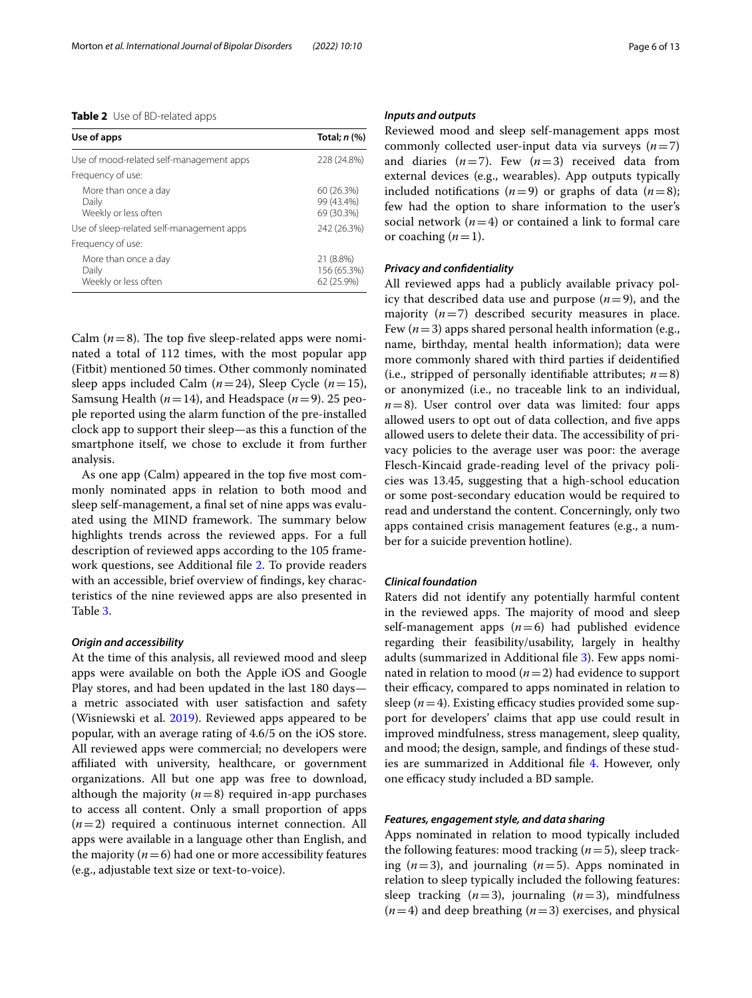<span id="page-5-0"></span>

| <b>Table 2</b> Use of BD-related apps |  |
|---------------------------------------|--|
|---------------------------------------|--|

| Use of apps                                                                                        | Total; $n$ $%$                                        |
|----------------------------------------------------------------------------------------------------|-------------------------------------------------------|
| Use of mood-related self-management apps                                                           | 228 (24.8%)                                           |
| Frequency of use:                                                                                  |                                                       |
| More than once a day<br>Daily<br>Weekly or less often<br>Use of sleep-related self-management apps | 60 (26.3%)<br>99 (43.4%)<br>69 (30.3%)<br>242 (26.3%) |
| Frequency of use:                                                                                  |                                                       |
| More than once a day<br>Daily<br>Weekly or less often                                              | 21 (8.8%)<br>156 (65.3%)<br>62 (25.9%)                |

Calm  $(n=8)$ . The top five sleep-related apps were nominated a total of 112 times, with the most popular app (Fitbit) mentioned 50 times. Other commonly nominated sleep apps included Calm (*n*=24), Sleep Cycle (*n*=15), Samsung Health (*n*=14), and Headspace (*n*=9). 25 people reported using the alarm function of the pre-installed clock app to support their sleep—as this a function of the smartphone itself, we chose to exclude it from further analysis.

As one app (Calm) appeared in the top five most commonly nominated apps in relation to both mood and sleep self-management, a final set of nine apps was evaluated using the MIND framework. The summary below highlights trends across the reviewed apps. For a full description of reviewed apps according to the 105 framework questions, see Additional fle [2.](#page-10-12) To provide readers with an accessible, brief overview of fndings, key characteristics of the nine reviewed apps are also presented in Table [3](#page-6-0).

#### *Origin and accessibility*

At the time of this analysis, all reviewed mood and sleep apps were available on both the Apple iOS and Google Play stores, and had been updated in the last 180 days a metric associated with user satisfaction and safety (Wisniewski et al. [2019](#page-12-3)). Reviewed apps appeared to be popular, with an average rating of 4.6/5 on the iOS store. All reviewed apps were commercial; no developers were afliated with university, healthcare, or government organizations. All but one app was free to download, although the majority  $(n=8)$  required in-app purchases to access all content. Only a small proportion of apps (*n*=2) required a continuous internet connection. All apps were available in a language other than English, and the majority  $(n=6)$  had one or more accessibility features (e.g., adjustable text size or text-to-voice).

#### *Inputs and outputs*

Reviewed mood and sleep self-management apps most commonly collected user-input data via surveys  $(n=7)$ and diaries  $(n=7)$ . Few  $(n=3)$  received data from external devices (e.g., wearables). App outputs typically included notifications  $(n=9)$  or graphs of data  $(n=8)$ ; few had the option to share information to the user's social network  $(n=4)$  or contained a link to formal care or coaching  $(n=1)$ .

#### *Privacy and confdentiality*

All reviewed apps had a publicly available privacy policy that described data use and purpose  $(n=9)$ , and the majority  $(n=7)$  described security measures in place. Few  $(n=3)$  apps shared personal health information (e.g., name, birthday, mental health information); data were more commonly shared with third parties if deidentifed (i.e., stripped of personally identifiable attributes;  $n=8$ ) or anonymized (i.e., no traceable link to an individual,  $n=8$ ). User control over data was limited: four apps allowed users to opt out of data collection, and five apps allowed users to delete their data. The accessibility of privacy policies to the average user was poor: the average Flesch-Kincaid grade-reading level of the privacy policies was 13.45, suggesting that a high-school education or some post-secondary education would be required to read and understand the content. Concerningly, only two apps contained crisis management features (e.g., a number for a suicide prevention hotline).

#### *Clinical foundation*

Raters did not identify any potentially harmful content in the reviewed apps. The majority of mood and sleep self-management apps  $(n=6)$  had published evidence regarding their feasibility/usability, largely in healthy adults (summarized in Additional fle [3](#page-10-13)). Few apps nominated in relation to mood (*n*=2) had evidence to support their efficacy, compared to apps nominated in relation to sleep  $(n=4)$ . Existing efficacy studies provided some support for developers' claims that app use could result in improved mindfulness, stress management, sleep quality, and mood; the design, sample, and fndings of these studies are summarized in Additional fle [4](#page-10-14). However, only one efficacy study included a BD sample.

#### *Features, engagement style, and data sharing*

Apps nominated in relation to mood typically included the following features: mood tracking (*n*=5), sleep tracking  $(n=3)$ , and journaling  $(n=5)$ . Apps nominated in relation to sleep typically included the following features: sleep tracking  $(n=3)$ , journaling  $(n=3)$ , mindfulness (*n*=4) and deep breathing (*n*=3) exercises, and physical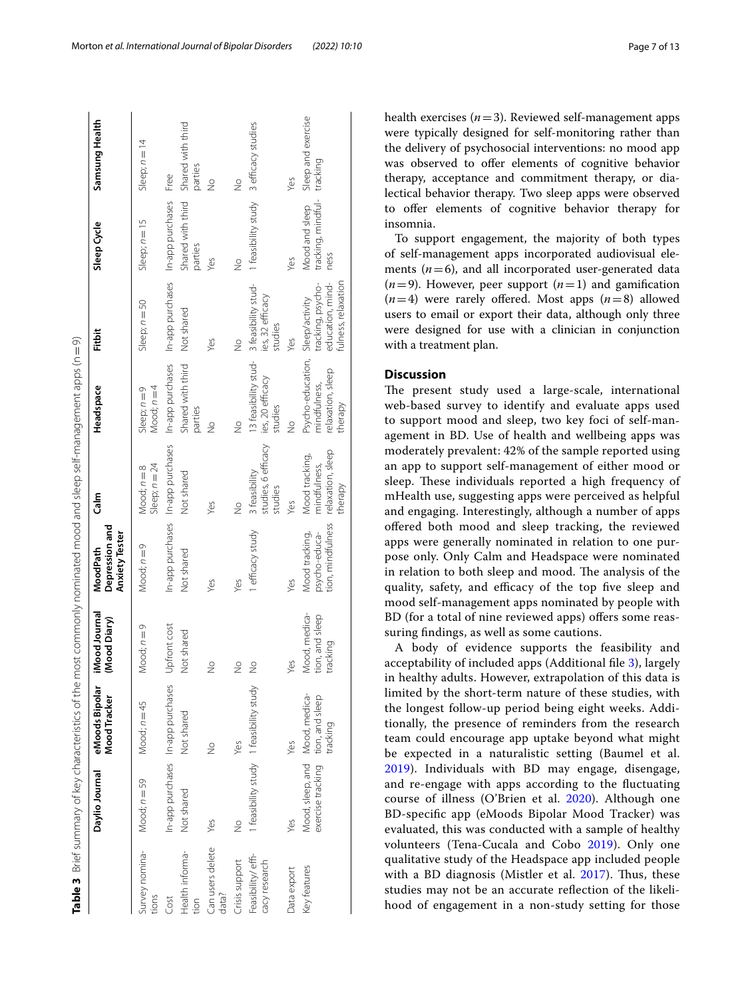|                                    | Table 3 Brief summary of key characteristics of the most commonly nominated mood and sleep self-management apps (n=9) |                                         |                                              |                                                                        |                                                 |                                                                                  |                                                              |                                              |                                |
|------------------------------------|-----------------------------------------------------------------------------------------------------------------------|-----------------------------------------|----------------------------------------------|------------------------------------------------------------------------|-------------------------------------------------|----------------------------------------------------------------------------------|--------------------------------------------------------------|----------------------------------------------|--------------------------------|
|                                    | Daylio Journal                                                                                                        | eMoods Bipolar<br>Mood Tracker          | iMood Journal<br>(Mood Diary)                | Depression and<br><b>Anxiety Tester</b><br>MoodPath                    | Calm                                            | Headspace                                                                        | Fitbit                                                       | Sleep Cycle                                  | Samsung Health                 |
| Survey nomina-<br>tions            | Mood; $n = 59$                                                                                                        | Mood; $n = 45$                          | Mood; $n=9$                                  | Mood; $n=9$                                                            | Sleep; $n = 24$<br>Mood; $n = 8$                | Mood; $n = 4$<br>Sleep; $n=9$                                                    | Sleep; $n = 50$                                              | Sleep; $n = 15$                              | Sleep; $n = 14$                |
| Cost                               | In-app purchases In-app purchases                                                                                     |                                         | Upfront cost                                 |                                                                        | In-app purchases In-app purchases               |                                                                                  | In-app purchases In-app purchases In-app purchases Free      |                                              |                                |
| -ealth informa-<br>ion             | Not shared                                                                                                            | Not shared                              | Not shared                                   | Not shared                                                             | Not shared                                      | Shared with third<br>parties                                                     | Not shared                                                   | Shared with third<br>parties                 | Shared with third<br>parties   |
| Can users delete<br>data?          | Yes                                                                                                                   | $\frac{1}{2}$                           | ž                                            | Yes                                                                    | Yes                                             | $\frac{1}{2}$                                                                    | Yes                                                          | Yes                                          | $\frac{1}{2}$                  |
| Crisis support                     | $\frac{1}{2}$                                                                                                         | Yes                                     | $\frac{1}{2}$                                | Yes                                                                    | $\frac{9}{2}$                                   | $\frac{1}{2}$                                                                    | $\frac{9}{2}$                                                | $\frac{1}{2}$                                | $\frac{1}{2}$                  |
| -easibility/effi-<br>cacy research |                                                                                                                       | 1 feasibility study 1 feasibility study | $\frac{1}{2}$                                | 1 efficacy study                                                       | studies, 6 efficacy<br>3 feasibility<br>studies | 13 feasibility stud-<br>3 feasibility stud-<br>ies, 20 efficacy<br>studies       | ies, 32 efficacy<br>studies                                  | 1 feasibility study 3 efficacy studies       |                                |
| Data export                        | Yes                                                                                                                   | yes                                     | Yes                                          | Yes                                                                    | yes                                             | $\frac{1}{2}$                                                                    | Yes                                                          | Yes                                          | Yes                            |
| <b>Key features</b>                | Mood, sleep, and Mood, medica-<br>exercise tracking tion, and sleep                                                   | tracking                                | Mood, medica-<br>tion, and sleep<br>tracking | tion, mindfulness relaxation, sleep<br>psycho-educa-<br>Mood tracking, | Mood tracking,<br>mindfulness,<br>therapy       | Psycho-education, Sleep/activity<br>relaxation, sleep<br>mindfulness,<br>therapy | tracking, psycho-<br>education, mind-<br>fulness, relaxation | tracking, mindful-<br>Mood and sleep<br>ness | Sleep and exercise<br>tracking |

health exercises  $(n=3)$ . Reviewed self-management apps were typically designed for self-monitoring rather than the delivery of psychosocial interventions: no mood app was observed to offer elements of cognitive behavior therapy, acceptance and commitment therapy, or dialectical behavior therapy. Two sleep apps were observed to ofer elements of cognitive behavior therapy for insomnia.

To support engagement, the majority of both types of self-management apps incorporated audiovisual elements  $(n=6)$ , and all incorporated user-generated data  $(n=9)$ . However, peer support  $(n=1)$  and gamification  $(n=4)$  were rarely offered. Most apps  $(n=8)$  allowed users to email or export their data, although only three were designed for use with a clinician in conjunction with a treatment plan.

# **Discussion**

The present study used a large-scale, international web-based survey to identify and evaluate apps used to support mood and sleep, two key foci of self-management in BD. Use of health and wellbeing apps was moderately prevalent: 42% of the sample reported using an app to support self-management of either mood or sleep. These individuals reported a high frequency of mHealth use, suggesting apps were perceived as helpful and engaging. Interestingly, although a number of apps ofered both mood and sleep tracking, the reviewed apps were generally nominated in relation to one purpose only. Only Calm and Headspace were nominated in relation to both sleep and mood. The analysis of the quality, safety, and efficacy of the top five sleep and mood self-management apps nominated by people with BD (for a total of nine reviewed apps) offers some reassuring fndings, as well as some cautions.

<span id="page-6-0"></span>A body of evidence supports the feasibility and acceptability of included apps (Additional fle [3\)](#page-10-13), largely in healthy adults. However, extrapolation of this data is limited by the short-term nature of these studies, with the longest follow-up period being eight weeks. Additionally, the presence of reminders from the research team could encourage app uptake beyond what might be expected in a naturalistic setting (Baumel et al. [2019\)](#page-10-15). Individuals with BD may engage, disengage, and re-engage with apps according to the fuctuating course of illness (O'Brien et al. [2020\)](#page-11-29). Although one BD-specifc app (eMoods Bipolar Mood Tracker) was evaluated, this was conducted with a sample of healthy volunteers (Tena-Cucala and Cobo [2019\)](#page-12-6). Only one qualitative study of the Headspace app included people with a BD diagnosis (Mistler et al. [2017](#page-11-30)). Thus, these studies may not be an accurate refection of the likelihood of engagement in a non-study setting for those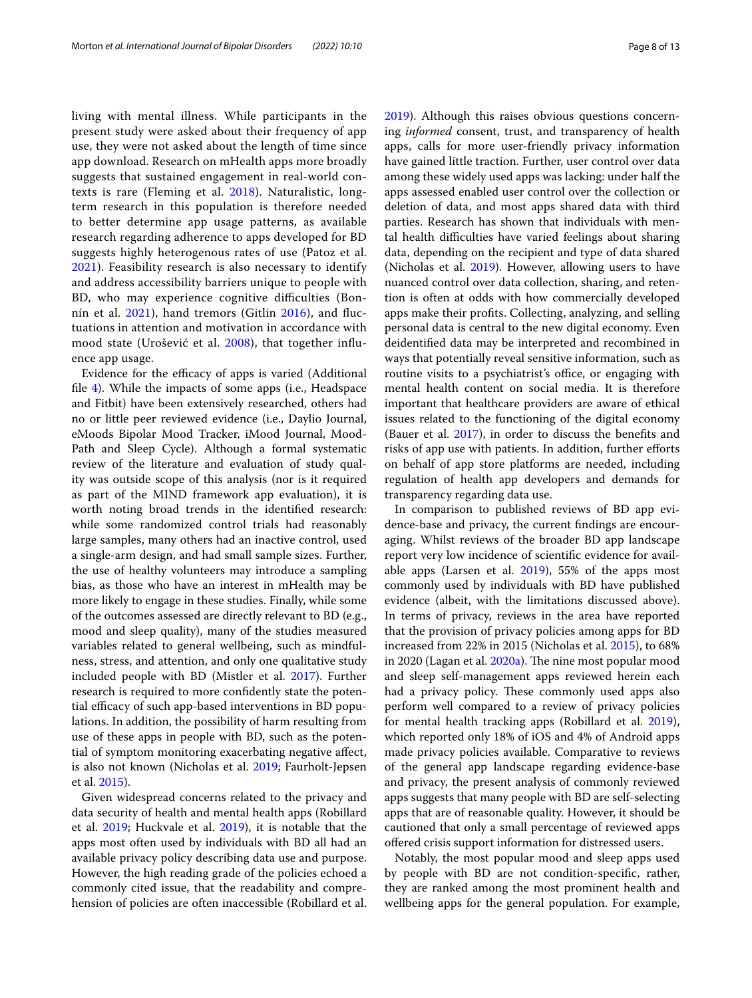living with mental illness. While participants in the present study were asked about their frequency of app use, they were not asked about the length of time since app download. Research on mHealth apps more broadly suggests that sustained engagement in real-world contexts is rare (Fleming et al. [2018](#page-11-31)). Naturalistic, longterm research in this population is therefore needed to better determine app usage patterns, as available research regarding adherence to apps developed for BD suggests highly heterogenous rates of use (Patoz et al. [2021\)](#page-11-32). Feasibility research is also necessary to identify and address accessibility barriers unique to people with BD, who may experience cognitive difficulties (Bon-nín et al. [2021\)](#page-10-16), hand tremors (Gitlin [2016\)](#page-11-33), and fluctuations in attention and motivation in accordance with mood state (Urošević et al. [2008](#page-12-7)), that together infuence app usage.

Evidence for the efficacy of apps is varied (Additional fle [4](#page-10-14)). While the impacts of some apps (i.e., Headspace and Fitbit) have been extensively researched, others had no or little peer reviewed evidence (i.e., Daylio Journal, eMoods Bipolar Mood Tracker, iMood Journal, Mood-Path and Sleep Cycle). Although a formal systematic review of the literature and evaluation of study quality was outside scope of this analysis (nor is it required as part of the MIND framework app evaluation), it is worth noting broad trends in the identifed research: while some randomized control trials had reasonably large samples, many others had an inactive control, used a single-arm design, and had small sample sizes. Further, the use of healthy volunteers may introduce a sampling bias, as those who have an interest in mHealth may be more likely to engage in these studies. Finally, while some of the outcomes assessed are directly relevant to BD (e.g., mood and sleep quality), many of the studies measured variables related to general wellbeing, such as mindfulness, stress, and attention, and only one qualitative study included people with BD (Mistler et al. [2017](#page-11-30)). Further research is required to more confdently state the potential efficacy of such app-based interventions in BD populations. In addition, the possibility of harm resulting from use of these apps in people with BD, such as the potential of symptom monitoring exacerbating negative afect, is also not known (Nicholas et al. [2019](#page-11-34); Faurholt-Jepsen et al. [2015\)](#page-10-17).

Given widespread concerns related to the privacy and data security of health and mental health apps (Robillard et al. [2019](#page-11-15); Huckvale et al. [2019\)](#page-11-16), it is notable that the apps most often used by individuals with BD all had an available privacy policy describing data use and purpose. However, the high reading grade of the policies echoed a commonly cited issue, that the readability and comprehension of policies are often inaccessible (Robillard et al. [2019](#page-11-15)). Although this raises obvious questions concerning *informed* consent, trust, and transparency of health apps, calls for more user-friendly privacy information have gained little traction. Further, user control over data among these widely used apps was lacking: under half the apps assessed enabled user control over the collection or deletion of data, and most apps shared data with third parties. Research has shown that individuals with mental health difficulties have varied feelings about sharing data, depending on the recipient and type of data shared (Nicholas et al. [2019](#page-11-34)). However, allowing users to have nuanced control over data collection, sharing, and retention is often at odds with how commercially developed apps make their profts. Collecting, analyzing, and selling personal data is central to the new digital economy. Even deidentifed data may be interpreted and recombined in ways that potentially reveal sensitive information, such as routine visits to a psychiatrist's office, or engaging with mental health content on social media. It is therefore important that healthcare providers are aware of ethical issues related to the functioning of the digital economy (Bauer et al.  $2017$ ), in order to discuss the benefits and risks of app use with patients. In addition, further efforts on behalf of app store platforms are needed, including regulation of health app developers and demands for transparency regarding data use.

In comparison to published reviews of BD app evidence-base and privacy, the current fndings are encouraging. Whilst reviews of the broader BD app landscape report very low incidence of scientifc evidence for available apps (Larsen et al. [2019\)](#page-11-12), 55% of the apps most commonly used by individuals with BD have published evidence (albeit, with the limitations discussed above). In terms of privacy, reviews in the area have reported that the provision of privacy policies among apps for BD increased from 22% in 2015 (Nicholas et al. [2015](#page-11-13)), to 68% in 2020 (Lagan et al. [2020a](#page-11-14)). The nine most popular mood and sleep self-management apps reviewed herein each had a privacy policy. These commonly used apps also perform well compared to a review of privacy policies for mental health tracking apps (Robillard et al. [2019](#page-11-15)), which reported only 18% of iOS and 4% of Android apps made privacy policies available. Comparative to reviews of the general app landscape regarding evidence-base and privacy, the present analysis of commonly reviewed apps suggests that many people with BD are self-selecting apps that are of reasonable quality. However, it should be cautioned that only a small percentage of reviewed apps ofered crisis support information for distressed users.

Notably, the most popular mood and sleep apps used by people with BD are not condition-specifc, rather, they are ranked among the most prominent health and wellbeing apps for the general population. For example,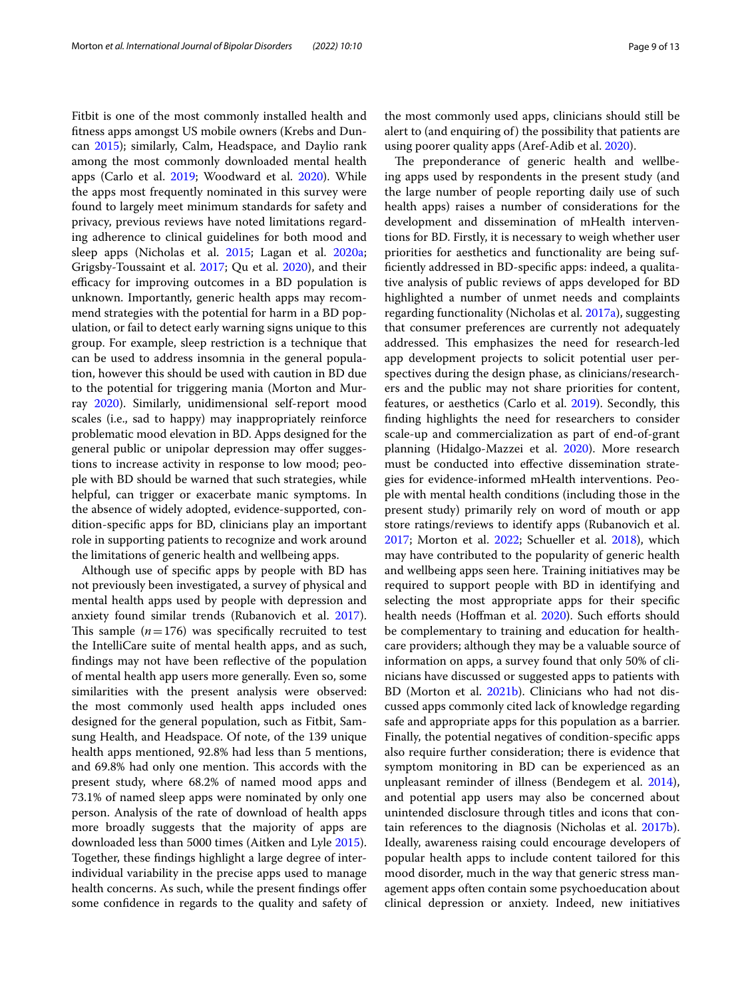Fitbit is one of the most commonly installed health and ftness apps amongst US mobile owners (Krebs and Duncan [2015\)](#page-11-23); similarly, Calm, Headspace, and Daylio rank among the most commonly downloaded mental health apps (Carlo et al. [2019;](#page-10-19) Woodward et al. [2020\)](#page-12-8). While the apps most frequently nominated in this survey were found to largely meet minimum standards for safety and privacy, previous reviews have noted limitations regarding adherence to clinical guidelines for both mood and sleep apps (Nicholas et al. [2015;](#page-11-13) Lagan et al. [2020a](#page-11-14); Grigsby-Toussaint et al. [2017](#page-11-35); Qu et al. [2020\)](#page-11-36), and their efficacy for improving outcomes in a BD population is unknown. Importantly, generic health apps may recommend strategies with the potential for harm in a BD population, or fail to detect early warning signs unique to this group. For example, sleep restriction is a technique that can be used to address insomnia in the general population, however this should be used with caution in BD due to the potential for triggering mania (Morton and Murray [2020](#page-11-37)). Similarly, unidimensional self-report mood scales (i.e., sad to happy) may inappropriately reinforce problematic mood elevation in BD. Apps designed for the general public or unipolar depression may offer suggestions to increase activity in response to low mood; people with BD should be warned that such strategies, while helpful, can trigger or exacerbate manic symptoms. In the absence of widely adopted, evidence-supported, condition-specifc apps for BD, clinicians play an important

the limitations of generic health and wellbeing apps. Although use of specifc apps by people with BD has not previously been investigated, a survey of physical and mental health apps used by people with depression and anxiety found similar trends (Rubanovich et al. [2017](#page-12-4)). This sample  $(n=176)$  was specifically recruited to test the IntelliCare suite of mental health apps, and as such, fndings may not have been refective of the population of mental health app users more generally. Even so, some similarities with the present analysis were observed: the most commonly used health apps included ones designed for the general population, such as Fitbit, Samsung Health, and Headspace. Of note, of the 139 unique health apps mentioned, 92.8% had less than 5 mentions, and 69.8% had only one mention. This accords with the present study, where 68.2% of named mood apps and 73.1% of named sleep apps were nominated by only one person. Analysis of the rate of download of health apps more broadly suggests that the majority of apps are downloaded less than 5000 times (Aitken and Lyle [2015](#page-10-5)). Together, these fndings highlight a large degree of interindividual variability in the precise apps used to manage health concerns. As such, while the present findings offer some confdence in regards to the quality and safety of

role in supporting patients to recognize and work around

the most commonly used apps, clinicians should still be alert to (and enquiring of) the possibility that patients are using poorer quality apps (Aref-Adib et al. [2020\)](#page-10-20).

The preponderance of generic health and wellbeing apps used by respondents in the present study (and the large number of people reporting daily use of such health apps) raises a number of considerations for the development and dissemination of mHealth interventions for BD. Firstly, it is necessary to weigh whether user priorities for aesthetics and functionality are being suffciently addressed in BD-specifc apps: indeed, a qualitative analysis of public reviews of apps developed for BD highlighted a number of unmet needs and complaints regarding functionality (Nicholas et al. [2017a\)](#page-11-38), suggesting that consumer preferences are currently not adequately addressed. This emphasizes the need for research-led app development projects to solicit potential user perspectives during the design phase, as clinicians/researchers and the public may not share priorities for content, features, or aesthetics (Carlo et al. [2019](#page-10-19)). Secondly, this fnding highlights the need for researchers to consider scale-up and commercialization as part of end-of-grant planning (Hidalgo-Mazzei et al. [2020](#page-11-39)). More research must be conducted into efective dissemination strategies for evidence-informed mHealth interventions. People with mental health conditions (including those in the present study) primarily rely on word of mouth or app store ratings/reviews to identify apps (Rubanovich et al. [2017](#page-12-4); Morton et al. [2022](#page-11-20); Schueller et al. [2018](#page-12-9)), which may have contributed to the popularity of generic health and wellbeing apps seen here. Training initiatives may be required to support people with BD in identifying and selecting the most appropriate apps for their specifc health needs (Hoffman et al. [2020\)](#page-11-40). Such efforts should be complementary to training and education for healthcare providers; although they may be a valuable source of information on apps, a survey found that only 50% of clinicians have discussed or suggested apps to patients with BD (Morton et al. [2021b\)](#page-11-41). Clinicians who had not discussed apps commonly cited lack of knowledge regarding safe and appropriate apps for this population as a barrier. Finally, the potential negatives of condition-specifc apps also require further consideration; there is evidence that symptom monitoring in BD can be experienced as an unpleasant reminder of illness (Bendegem et al. [2014](#page-12-10)), and potential app users may also be concerned about unintended disclosure through titles and icons that contain references to the diagnosis (Nicholas et al. [2017b](#page-11-42)). Ideally, awareness raising could encourage developers of popular health apps to include content tailored for this mood disorder, much in the way that generic stress management apps often contain some psychoeducation about clinical depression or anxiety. Indeed, new initiatives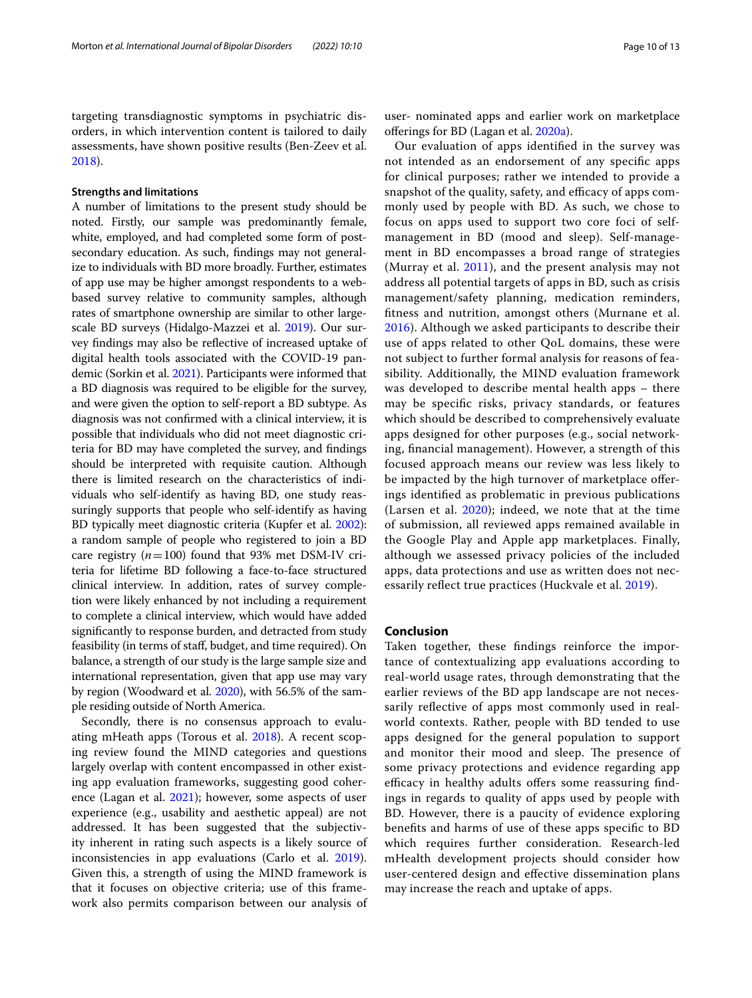targeting transdiagnostic symptoms in psychiatric disorders, in which intervention content is tailored to daily assessments, have shown positive results (Ben-Zeev et al. [2018](#page-10-21)).

## **Strengths and limitations**

A number of limitations to the present study should be noted. Firstly, our sample was predominantly female, white, employed, and had completed some form of postsecondary education. As such, fndings may not generalize to individuals with BD more broadly. Further, estimates of app use may be higher amongst respondents to a webbased survey relative to community samples, although rates of smartphone ownership are similar to other largescale BD surveys (Hidalgo-Mazzei et al. [2019](#page-11-11)). Our survey fndings may also be refective of increased uptake of digital health tools associated with the COVID-19 pandemic (Sorkin et al. [2021\)](#page-12-11). Participants were informed that a BD diagnosis was required to be eligible for the survey, and were given the option to self-report a BD subtype. As diagnosis was not confrmed with a clinical interview, it is possible that individuals who did not meet diagnostic criteria for BD may have completed the survey, and fndings should be interpreted with requisite caution. Although there is limited research on the characteristics of individuals who self-identify as having BD, one study reassuringly supports that people who self-identify as having BD typically meet diagnostic criteria (Kupfer et al. [2002](#page-11-43)): a random sample of people who registered to join a BD care registry  $(n=100)$  found that 93% met DSM-IV criteria for lifetime BD following a face-to-face structured clinical interview. In addition, rates of survey completion were likely enhanced by not including a requirement to complete a clinical interview, which would have added signifcantly to response burden, and detracted from study feasibility (in terms of staf, budget, and time required). On balance, a strength of our study is the large sample size and international representation, given that app use may vary by region (Woodward et al. [2020\)](#page-12-8), with 56.5% of the sample residing outside of North America.

Secondly, there is no consensus approach to evaluating mHeath apps (Torous et al. [2018](#page-12-2)). A recent scoping review found the MIND categories and questions largely overlap with content encompassed in other existing app evaluation frameworks, suggesting good coher-ence (Lagan et al. [2021](#page-11-44)); however, some aspects of user experience (e.g., usability and aesthetic appeal) are not addressed. It has been suggested that the subjectivity inherent in rating such aspects is a likely source of inconsistencies in app evaluations (Carlo et al. [2019](#page-10-19)). Given this, a strength of using the MIND framework is that it focuses on objective criteria; use of this framework also permits comparison between our analysis of

user- nominated apps and earlier work on marketplace oferings for BD (Lagan et al. [2020a](#page-11-14)).

Our evaluation of apps identifed in the survey was not intended as an endorsement of any specifc apps for clinical purposes; rather we intended to provide a snapshot of the quality, safety, and efficacy of apps commonly used by people with BD. As such, we chose to focus on apps used to support two core foci of selfmanagement in BD (mood and sleep). Self-management in BD encompasses a broad range of strategies (Murray et al. [2011\)](#page-11-4), and the present analysis may not address all potential targets of apps in BD, such as crisis management/safety planning, medication reminders, ftness and nutrition, amongst others (Murnane et al. [2016\)](#page-11-45). Although we asked participants to describe their use of apps related to other QoL domains, these were not subject to further formal analysis for reasons of feasibility. Additionally, the MIND evaluation framework was developed to describe mental health apps – there may be specifc risks, privacy standards, or features which should be described to comprehensively evaluate apps designed for other purposes (e.g., social networking, fnancial management). However, a strength of this focused approach means our review was less likely to be impacted by the high turnover of marketplace oferings identifed as problematic in previous publications (Larsen et al. [2020](#page-11-22)); indeed, we note that at the time of submission, all reviewed apps remained available in the Google Play and Apple app marketplaces. Finally, although we assessed privacy policies of the included apps, data protections and use as written does not nec-essarily reflect true practices (Huckvale et al. [2019](#page-11-16)).

# **Conclusion**

Taken together, these fndings reinforce the importance of contextualizing app evaluations according to real-world usage rates, through demonstrating that the earlier reviews of the BD app landscape are not necessarily refective of apps most commonly used in realworld contexts. Rather, people with BD tended to use apps designed for the general population to support and monitor their mood and sleep. The presence of some privacy protections and evidence regarding app efficacy in healthy adults offers some reassuring findings in regards to quality of apps used by people with BD. However, there is a paucity of evidence exploring benefts and harms of use of these apps specifc to BD which requires further consideration. Research-led mHealth development projects should consider how user-centered design and efective dissemination plans may increase the reach and uptake of apps.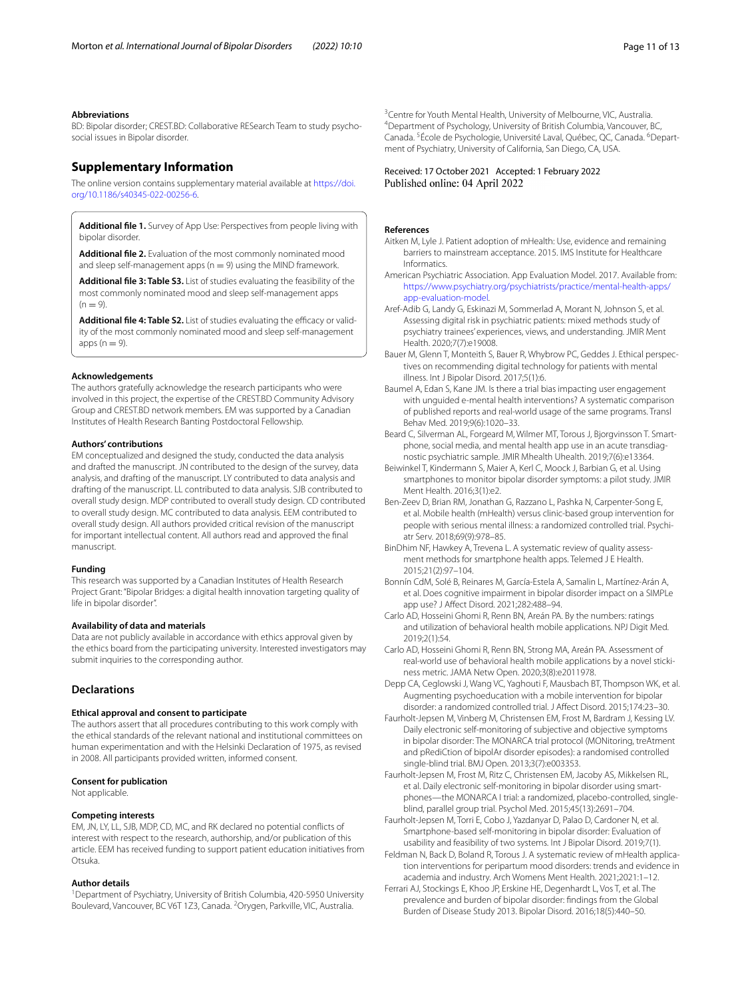#### **Abbreviations**

BD: Bipolar disorder; CREST.BD: Collaborative RESearch Team to study psychosocial issues in Bipolar disorder.

# **Supplementary Information**

The online version contains supplementary material available at [https://doi.](https://doi.org/10.1186/s40345-022-00256-6) [org/10.1186/s40345-022-00256-6](https://doi.org/10.1186/s40345-022-00256-6).

<span id="page-10-12"></span><span id="page-10-9"></span>**Additional fle 1.** Survey of App Use: Perspectives from people living with bipolar disorder.

**Additional fle 2.** Evaluation of the most commonly nominated mood and sleep self-management apps ( $n = 9$ ) using the MIND framework

**Additional fle 3: Table S3.** List of studies evaluating the feasibility of the most commonly nominated mood and sleep self-management apps  $(n = 9)$ .

<span id="page-10-14"></span>**Additional file 4: Table S2.** List of studies evaluating the efficacy or validity of the most commonly nominated mood and sleep self-management apps  $(n = 9)$ .

#### **Acknowledgements**

The authors gratefully acknowledge the research participants who were involved in this project, the expertise of the CREST.BD Community Advisory Group and CREST.BD network members. EM was supported by a Canadian Institutes of Health Research Banting Postdoctoral Fellowship.

#### **Authors' contributions**

EM conceptualized and designed the study, conducted the data analysis and drafted the manuscript. JN contributed to the design of the survey, data analysis, and drafting of the manuscript. LY contributed to data analysis and drafting of the manuscript. LL contributed to data analysis. SJB contributed to overall study design. MDP contributed to overall study design. CD contributed to overall study design. MC contributed to data analysis. EEM contributed to overall study design. All authors provided critical revision of the manuscript for important intellectual content. All authors read and approved the fnal manuscript.

#### **Funding**

This research was supported by a Canadian Institutes of Health Research Project Grant: "Bipolar Bridges: a digital health innovation targeting quality of life in bipolar disorder".

# **Availability of data and materials**

Data are not publicly available in accordance with ethics approval given by the ethics board from the participating university. Interested investigators may submit inquiries to the corresponding author.

# **Declarations**

#### **Ethical approval and consent to participate**

The authors assert that all procedures contributing to this work comply with the ethical standards of the relevant national and institutional committees on human experimentation and with the Helsinki Declaration of 1975, as revised in 2008. All participants provided written, informed consent.

#### **Consent for publication**

Not applicable.

#### **Competing interests**

EM, JN, LY, LL, SJB, MDP, CD, MC, and RK declared no potential conficts of interest with respect to the research, authorship, and/or publication of this article. EEM has received funding to support patient education initiatives from Otsuka.

#### **Author details**

<sup>1</sup> Department of Psychiatry, University of British Columbia, 420-5950 University Boulevard, Vancouver, BC V6T 1Z3, Canada. <sup>2</sup>Orygen, Parkville, VIC, Australia.

<sup>3</sup> Centre for Youth Mental Health, University of Melbourne, VIC, Australia.<br><sup>4</sup> Department of Psychology University of British Columbia Vancouver B Department of Psychology, University of British Columbia, Vancouver, BC, Canada.<sup>5</sup>École de Psychologie, Université Laval, Québec, QC, Canada.<sup>6</sup>Department of Psychiatry, University of California, San Diego, CA, USA.

#### Received: 17 October 2021 Accepted: 1 February 2022 Published online: 04 April 2022

#### **References**

- <span id="page-10-5"></span>Aitken M, Lyle J. Patient adoption of mHealth: Use, evidence and remaining barriers to mainstream acceptance. 2015. IMS Institute for Healthcare Informatics.
- <span id="page-10-13"></span><span id="page-10-10"></span>American Psychiatric Association. App Evaluation Model. 2017. Available from: [https://www.psychiatry.org/psychiatrists/practice/mental-health-apps/](https://www.psychiatry.org/psychiatrists/practice/mental-health-apps/app-evaluation-model) [app-evaluation-model.](https://www.psychiatry.org/psychiatrists/practice/mental-health-apps/app-evaluation-model)
- <span id="page-10-20"></span>Aref-Adib G, Landy G, Eskinazi M, Sommerlad A, Morant N, Johnson S, et al. Assessing digital risk in psychiatric patients: mixed methods study of psychiatry trainees' experiences, views, and understanding. JMIR Ment Health. 2020;7(7):e19008.
- <span id="page-10-18"></span>Bauer M, Glenn T, Monteith S, Bauer R, Whybrow PC, Geddes J. Ethical perspectives on recommending digital technology for patients with mental illness. Int J Bipolar Disord. 2017;5(1):6.
- <span id="page-10-15"></span>Baumel A, Edan S, Kane JM. Is there a trial bias impacting user engagement with unguided e-mental health interventions? A systematic comparison of published reports and real-world usage of the same programs. Transl Behav Med. 2019;9(6):1020–33.
- <span id="page-10-8"></span>Beard C, Silverman AL, Forgeard M, Wilmer MT, Torous J, Bjorgvinsson T. Smartphone, social media, and mental health app use in an acute transdiagnostic psychiatric sample. JMIR Mhealth Uhealth. 2019;7(6):e13364.
- <span id="page-10-2"></span>Beiwinkel T, Kindermann S, Maier A, Kerl C, Moock J, Barbian G, et al. Using smartphones to monitor bipolar disorder symptoms: a pilot study. JMIR Ment Health. 2016;3(1):e2.
- <span id="page-10-21"></span>Ben-Zeev D, Brian RM, Jonathan G, Razzano L, Pashka N, Carpenter-Song E, et al. Mobile health (mHealth) versus clinic-based group intervention for people with serious mental illness: a randomized controlled trial. Psychiatr Serv. 2018;69(9):978–85.
- <span id="page-10-6"></span>BinDhim NF, Hawkey A, Trevena L. A systematic review of quality assessment methods for smartphone health apps. Telemed J E Health. 2015;21(2):97–104.
- <span id="page-10-16"></span>Bonnín CdM, Solé B, Reinares M, García-Estela A, Samalin L, Martínez-Arán A, et al. Does cognitive impairment in bipolar disorder impact on a SIMPLe app use? J Afect Disord. 2021;282:488–94.
- <span id="page-10-19"></span>Carlo AD, Hosseini Ghomi R, Renn BN, Areán PA. By the numbers: ratings and utilization of behavioral health mobile applications. NPJ Digit Med. 2019;2(1):54.
- <span id="page-10-7"></span>Carlo AD, Hosseini Ghomi R, Renn BN, Strong MA, Areán PA. Assessment of real-world use of behavioral health mobile applications by a novel stickiness metric. JAMA Netw Open. 2020;3(8):e2011978.
- <span id="page-10-4"></span>Depp CA, Ceglowski J, Wang VC, Yaghouti F, Mausbach BT, Thompson WK, et al. Augmenting psychoeducation with a mobile intervention for bipolar disorder: a randomized controlled trial. J Afect Disord. 2015;174:23–30.
- <span id="page-10-1"></span>Faurholt-Jepsen M, Vinberg M, Christensen EM, Frost M, Bardram J, Kessing LV. Daily electronic self-monitoring of subjective and objective symptoms in bipolar disorder: The MONARCA trial protocol (MONitoring, treAtment and pRediCtion of bipolAr disorder episodes): a randomised controlled single-blind trial. BMJ Open. 2013;3(7):e003353.
- <span id="page-10-17"></span>Faurholt-Jepsen M, Frost M, Ritz C, Christensen EM, Jacoby AS, Mikkelsen RL, et al. Daily electronic self-monitoring in bipolar disorder using smartphones—the MONARCA I trial: a randomized, placebo-controlled, singleblind, parallel group trial. Psychol Med. 2015;45(13):2691–704.
- <span id="page-10-3"></span>Faurholt-Jepsen M, Torri E, Cobo J, Yazdanyar D, Palao D, Cardoner N, et al. Smartphone-based self-monitoring in bipolar disorder: Evaluation of usability and feasibility of two systems. Int J Bipolar Disord. 2019;7(1).
- <span id="page-10-11"></span>Feldman N, Back D, Boland R, Torous J. A systematic review of mHealth application interventions for peripartum mood disorders: trends and evidence in academia and industry. Arch Womens Ment Health. 2021;2021:1–12.
- <span id="page-10-0"></span>Ferrari AJ, Stockings E, Khoo JP, Erskine HE, Degenhardt L, Vos T, et al. The prevalence and burden of bipolar disorder: fndings from the Global Burden of Disease Study 2013. Bipolar Disord. 2016;18(5):440–50.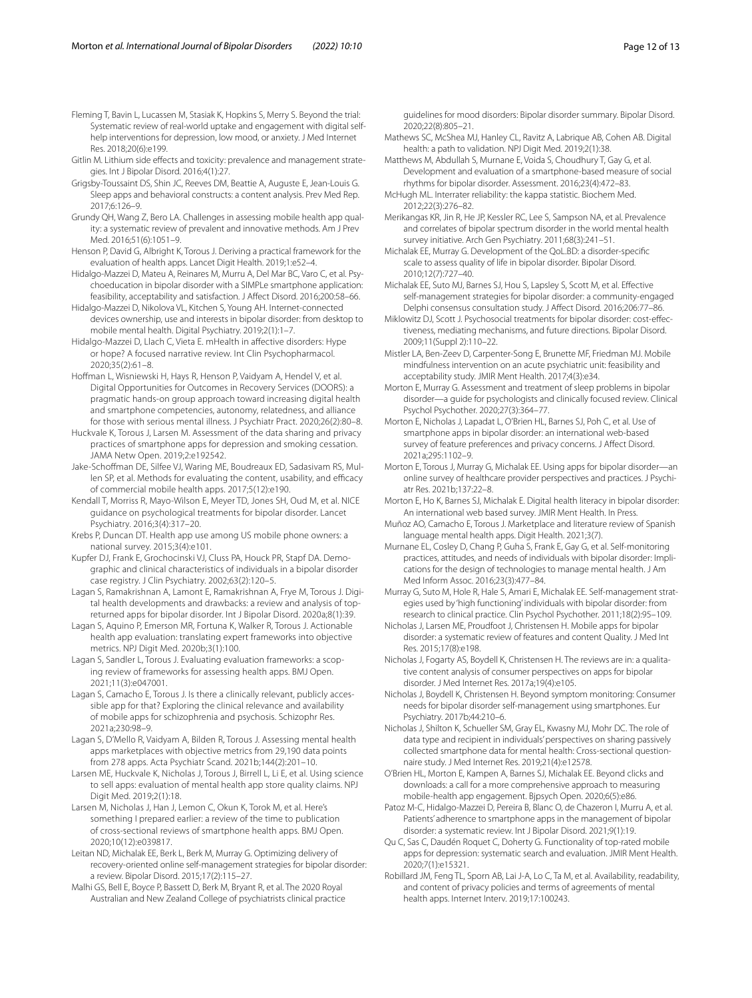<span id="page-11-31"></span>Fleming T, Bavin L, Lucassen M, Stasiak K, Hopkins S, Merry S. Beyond the trial: Systematic review of real-world uptake and engagement with digital selfhelp interventions for depression, low mood, or anxiety. J Med Internet Res. 2018;20(6):e199.

<span id="page-11-33"></span>Gitlin M. Lithium side effects and toxicity: prevalence and management strategies. Int J Bipolar Disord. 2016;4(1):27.

- <span id="page-11-35"></span>Grigsby-Toussaint DS, Shin JC, Reeves DM, Beattie A, Auguste E, Jean-Louis G. Sleep apps and behavioral constructs: a content analysis. Prev Med Rep. 2017;6:126–9.
- <span id="page-11-17"></span>Grundy QH, Wang Z, Bero LA. Challenges in assessing mobile health app quality: a systematic review of prevalent and innovative methods. Am J Prev Med. 2016;51(6):1051–9.
- <span id="page-11-24"></span>Henson P, David G, Albright K, Torous J. Deriving a practical framework for the evaluation of health apps. Lancet Digit Health. 2019;1:e52–4.
- <span id="page-11-8"></span>Hidalgo-Mazzei D, Mateu A, Reinares M, Murru A, Del Mar BC, Varo C, et al. Psychoeducation in bipolar disorder with a SIMPLe smartphone application: feasibility, acceptability and satisfaction. J Afect Disord. 2016;200:58–66.

<span id="page-11-11"></span>Hidalgo-Mazzei D, Nikolova VL, Kitchen S, Young AH. Internet-connected devices ownership, use and interests in bipolar disorder: from desktop to mobile mental health. Digital Psychiatry. 2019;2(1):1–7.

<span id="page-11-39"></span>Hidalgo-Mazzei D, Llach C, Vieta E. mHealth in afective disorders: Hype or hope? A focused narrative review. Int Clin Psychopharmacol. 2020;35(2):61–8.

<span id="page-11-40"></span>Hofman L, Wisniewski H, Hays R, Henson P, Vaidyam A, Hendel V, et al. Digital Opportunities for Outcomes in Recovery Services (DOORS): a pragmatic hands-on group approach toward increasing digital health and smartphone competencies, autonomy, relatedness, and alliance for those with serious mental illness. J Psychiatr Pract. 2020;26(2):80–8.

<span id="page-11-16"></span>Huckvale K, Torous J, Larsen M. Assessment of the data sharing and privacy practices of smartphone apps for depression and smoking cessation. JAMA Netw Open. 2019;2:e192542.

<span id="page-11-10"></span>Jake-Schofman DE, Silfee VJ, Waring ME, Boudreaux ED, Sadasivam RS, Mullen SP, et al. Methods for evaluating the content, usability, and efficacy of commercial mobile health apps. 2017;5(12):e190.

<span id="page-11-1"></span>Kendall T, Morriss R, Mayo-Wilson E, Meyer TD, Jones SH, Oud M, et al. NICE guidance on psychological treatments for bipolar disorder. Lancet Psychiatry. 2016;3(4):317–20.

<span id="page-11-23"></span>Krebs P, Duncan DT. Health app use among US mobile phone owners: a national survey. 2015;3(4):e101.

<span id="page-11-43"></span>Kupfer DJ, Frank E, Grochocinski VJ, Cluss PA, Houck PR, Stapf DA. Demographic and clinical characteristics of individuals in a bipolar disorder case registry. J Clin Psychiatry. 2002;63(2):120–5.

<span id="page-11-14"></span>Lagan S, Ramakrishnan A, Lamont E, Ramakrishnan A, Frye M, Torous J. Digital health developments and drawbacks: a review and analysis of topreturned apps for bipolar disorder. Int J Bipolar Disord. 2020a;8(1):39.

<span id="page-11-18"></span>Lagan S, Aquino P, Emerson MR, Fortuna K, Walker R, Torous J. Actionable health app evaluation: translating expert frameworks into objective metrics. NPJ Digit Med. 2020b;3(1):100.

<span id="page-11-44"></span>Lagan S, Sandler L, Torous J. Evaluating evaluation frameworks: a scoping review of frameworks for assessing health apps. BMJ Open. 2021;11(3):e047001.

<span id="page-11-25"></span>Lagan S, Camacho E, Torous J. Is there a clinically relevant, publicly accessible app for that? Exploring the clinical relevance and availability of mobile apps for schizophrenia and psychosis. Schizophr Res. 2021a;230:98–9.

<span id="page-11-27"></span>Lagan S, D'Mello R, Vaidyam A, Bilden R, Torous J. Assessing mental health apps marketplaces with objective metrics from 29,190 data points from 278 apps. Acta Psychiatr Scand. 2021b;144(2):201–10.

<span id="page-11-12"></span>Larsen ME, Huckvale K, Nicholas J, Torous J, Birrell L, Li E, et al. Using science to sell apps: evaluation of mental health app store quality claims. NPJ Digit Med. 2019;2(1):18.

<span id="page-11-22"></span>Larsen M, Nicholas J, Han J, Lemon C, Okun K, Torok M, et al. Here's something I prepared earlier: a review of the time to publication of cross-sectional reviews of smartphone health apps. BMJ Open. 2020;10(12):e039817.

<span id="page-11-6"></span>Leitan ND, Michalak EE, Berk L, Berk M, Murray G. Optimizing delivery of recovery-oriented online self-management strategies for bipolar disorder: a review. Bipolar Disord. 2015;17(2):115–27.

<span id="page-11-2"></span>Malhi GS, Bell E, Boyce P, Bassett D, Berk M, Bryant R, et al. The 2020 Royal Australian and New Zealand College of psychiatrists clinical practice guidelines for mood disorders: Bipolar disorder summary. Bipolar Disord. 2020;22(8):805–21.

<span id="page-11-9"></span>Mathews SC, McShea MJ, Hanley CL, Ravitz A, Labrique AB, Cohen AB. Digital health: a path to validation. NPJ Digit Med. 2019;2(1):38.

<span id="page-11-7"></span>Matthews M, Abdullah S, Murnane E, Voida S, Choudhury T, Gay G, et al. Development and evaluation of a smartphone-based measure of social rhythms for bipolar disorder. Assessment. 2016;23(4):472–83.

<span id="page-11-28"></span>McHugh ML. Interrater reliability: the kappa statistic. Biochem Med. 2012;22(3):276–82.

<span id="page-11-0"></span>Merikangas KR, Jin R, He JP, Kessler RC, Lee S, Sampson NA, et al. Prevalence and correlates of bipolar spectrum disorder in the world mental health survey initiative. Arch Gen Psychiatry. 2011;68(3):241–51.

<span id="page-11-21"></span>Michalak EE, Murray G. Development of the QoL.BD: a disorder-specifc scale to assess quality of life in bipolar disorder. Bipolar Disord. 2010;12(7):727–40.

<span id="page-11-3"></span>Michalak EE, Suto MJ, Barnes SJ, Hou S, Lapsley S, Scott M, et al. Efective self-management strategies for bipolar disorder: a community-engaged Delphi consensus consultation study. J Afect Disord. 2016;206:77–86.

<span id="page-11-5"></span>Miklowitz DJ, Scott J. Psychosocial treatments for bipolar disorder: cost-efectiveness, mediating mechanisms, and future directions. Bipolar Disord. 2009;11(Suppl 2):110–22.

<span id="page-11-30"></span>Mistler LA, Ben-Zeev D, Carpenter-Song E, Brunette MF, Friedman MJ. Mobile mindfulness intervention on an acute psychiatric unit: feasibility and acceptability study. JMIR Ment Health. 2017;4(3):e34.

<span id="page-11-37"></span>Morton E, Murray G. Assessment and treatment of sleep problems in bipolar disorder—a guide for psychologists and clinically focused review. Clinical Psychol Psychother. 2020;27(3):364–77.

<span id="page-11-19"></span>Morton E, Nicholas J, Lapadat L, O'Brien HL, Barnes SJ, Poh C, et al. Use of smartphone apps in bipolar disorder: an international web-based survey of feature preferences and privacy concerns. J Afect Disord. 2021a;295:1102–9.

<span id="page-11-41"></span>Morton E, Torous J, Murray G, Michalak EE. Using apps for bipolar disorder—an online survey of healthcare provider perspectives and practices. J Psychiatr Res. 2021b;137:22–8.

<span id="page-11-20"></span>Morton E, Ho K, Barnes SJ, Michalak E. Digital health literacy in bipolar disorder: An international web based survey. JMIR Ment Health. In Press.

<span id="page-11-26"></span>Muñoz AO, Camacho E, Torous J. Marketplace and literature review of Spanish language mental health apps. Digit Health. 2021;3(7).

<span id="page-11-45"></span>Murnane EL, Cosley D, Chang P, Guha S, Frank E, Gay G, et al. Self-monitoring practices, attitudes, and needs of individuals with bipolar disorder: Implications for the design of technologies to manage mental health. J Am Med Inform Assoc. 2016;23(3):477–84.

<span id="page-11-4"></span>Murray G, Suto M, Hole R, Hale S, Amari E, Michalak EE. Self-management strategies used by 'high functioning' individuals with bipolar disorder: from research to clinical practice. Clin Psychol Psychother. 2011;18(2):95–109.

<span id="page-11-13"></span>Nicholas J, Larsen ME, Proudfoot J, Christensen H. Mobile apps for bipolar disorder: a systematic review of features and content Quality. J Med Int Res. 2015;17(8):e198.

<span id="page-11-38"></span>Nicholas J, Fogarty AS, Boydell K, Christensen H. The reviews are in: a qualitative content analysis of consumer perspectives on apps for bipolar disorder. J Med Internet Res. 2017a;19(4):e105.

<span id="page-11-42"></span>Nicholas J, Boydell K, Christensen H. Beyond symptom monitoring: Consumer needs for bipolar disorder self-management using smartphones. Eur Psychiatry. 2017b;44:210–6.

<span id="page-11-34"></span>Nicholas J, Shilton K, Schueller SM, Gray EL, Kwasny MJ, Mohr DC. The role of data type and recipient in individuals' perspectives on sharing passively collected smartphone data for mental health: Cross-sectional questionnaire study. J Med Internet Res. 2019;21(4):e12578.

<span id="page-11-29"></span>O'Brien HL, Morton E, Kampen A, Barnes SJ, Michalak EE. Beyond clicks and downloads: a call for a more comprehensive approach to measuring mobile-health app engagement. Bjpsych Open. 2020;6(5):e86.

<span id="page-11-32"></span>Patoz M-C, Hidalgo-Mazzei D, Pereira B, Blanc O, de Chazeron I, Murru A, et al. Patients' adherence to smartphone apps in the management of bipolar disorder: a systematic review. Int J Bipolar Disord. 2021;9(1):19.

<span id="page-11-36"></span>Qu C, Sas C, Daudén Roquet C, Doherty G. Functionality of top-rated mobile apps for depression: systematic search and evaluation. JMIR Ment Health. 2020;7(1):e15321.

<span id="page-11-15"></span>Robillard JM, Feng TL, Sporn AB, Lai J-A, Lo C, Ta M, et al. Availability, readability, and content of privacy policies and terms of agreements of mental health apps. Internet Interv. 2019;17:100243.